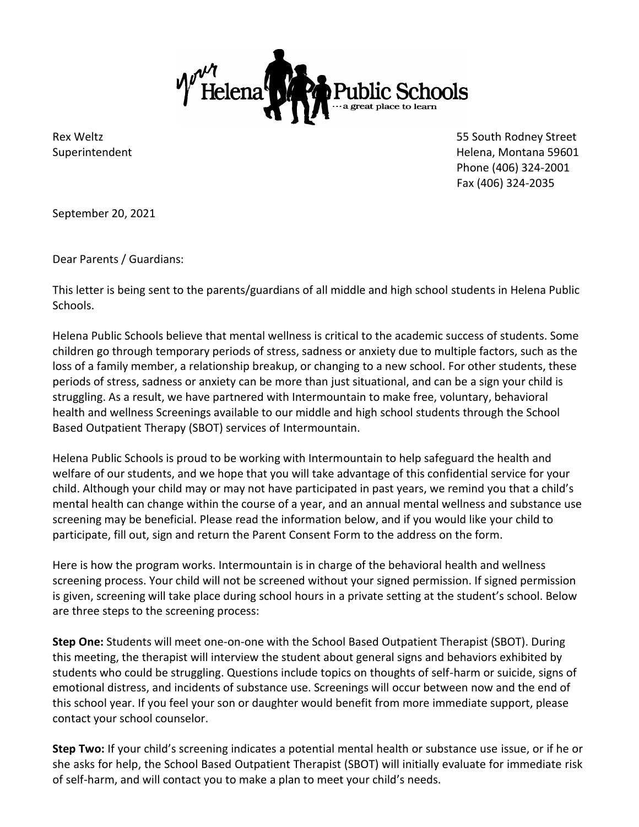

Rex Weltz **Example 2018** South Rodney Street **1998** South Rodney Street **1998** South Rodney Street Superintendent Helena, Montana 59601 Phone (406) 324-2001 Fax (406) 324-2035

September 20, 2021

Dear Parents / Guardians:

This letter is being sent to the parents/guardians of all middle and high school students in Helena Public Schools.

Helena Public Schools believe that mental wellness is critical to the academic success of students. Some children go through temporary periods of stress, sadness or anxiety due to multiple factors, such as the loss of a family member, a relationship breakup, or changing to a new school. For other students, these periods of stress, sadness or anxiety can be more than just situational, and can be a sign your child is struggling. As a result, we have partnered with Intermountain to make free, voluntary, behavioral health and wellness Screenings available to our middle and high school students through the School Based Outpatient Therapy (SBOT) services of Intermountain.

Helena Public Schools is proud to be working with Intermountain to help safeguard the health and welfare of our students, and we hope that you will take advantage of this confidential service for your child. Although your child may or may not have participated in past years, we remind you that a child's mental health can change within the course of a year, and an annual mental wellness and substance use screening may be beneficial. Please read the information below, and if you would like your child to participate, fill out, sign and return the Parent Consent Form to the address on the form.

Here is how the program works. Intermountain is in charge of the behavioral health and wellness screening process. Your child will not be screened without your signed permission. If signed permission is given, screening will take place during school hours in a private setting at the student's school. Below are three steps to the screening process:

**Step One:** Students will meet one-on-one with the School Based Outpatient Therapist (SBOT). During this meeting, the therapist will interview the student about general signs and behaviors exhibited by students who could be struggling. Questions include topics on thoughts of self-harm or suicide, signs of emotional distress, and incidents of substance use. Screenings will occur between now and the end of this school year. If you feel your son or daughter would benefit from more immediate support, please contact your school counselor.

**Step Two:** If your child's screening indicates a potential mental health or substance use issue, or if he or she asks for help, the School Based Outpatient Therapist (SBOT) will initially evaluate for immediate risk of self-harm, and will contact you to make a plan to meet your child's needs.